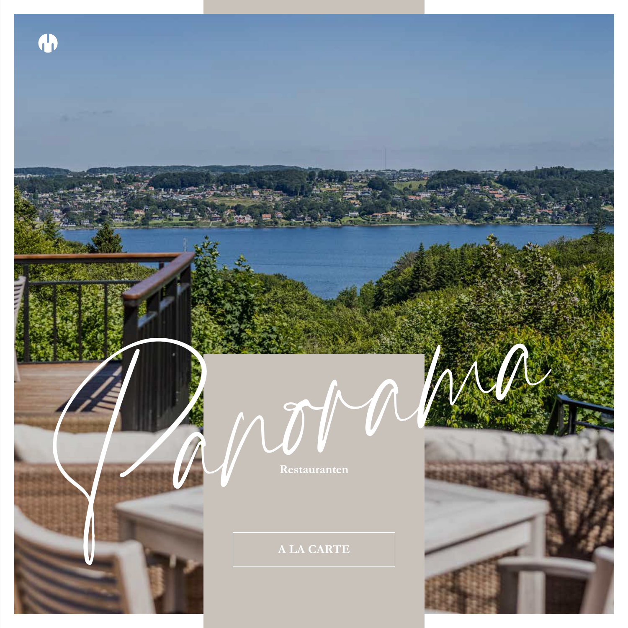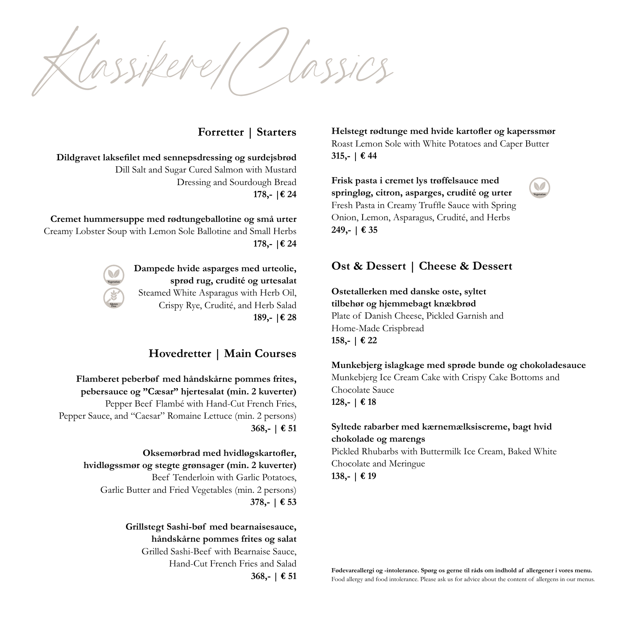*Klassikere/Classics*

# **Forretter | Starters**

**Dildgravet laksefilet med sennepsdressing og surdejsbrød** Dill Salt and Sugar Cured Salmon with Mustard Dressing and Sourdough Bread **178,- |€ 24**

**Cremet hummersuppe med rødtungeballotine og små urter** Creamy Lobster Soup with Lemon Sole Ballotine and Small Herbs **178,- |€ 24**



**Dampede hvide asparges med urteolie, sprød rug, crudité og urtesalat** Steamed White Asparagus with Herb Oil, Crispy Rye, Crudité, and Herb Salad **189,- |€ 28**

# **Hovedretter | Main Courses**

**Flamberet peberbøf med håndskårne pommes frites, pebersauce og "Cæsar" hjertesalat (min. 2 kuverter)** Pepper Beef Flambé with Hand-Cut French Fries, Pepper Sauce, and "Caesar" Romaine Lettuce (min. 2 persons) **368,- | € 51**

> **Oksemørbrad med hvidløgskartofler, hvidløgssmør og stegte grønsager (min. 2 kuverter)** Beef Tenderloin with Garlic Potatoes, Garlic Butter and Fried Vegetables (min. 2 persons) **378,- | € 53**

> > **Grillstegt Sashi-bøf med bearnaisesauce, håndskårne pommes frites og salat** Grilled Sashi-Beef with Bearnaise Sauce, Hand-Cut French Fries and Salad **368,- | € 51**

**Helstegt rødtunge med hvide kartofler og kaperssmør** Roast Lemon Sole with White Potatoes and Caper Butter **315,- | € 44**

**Vegetarian**

**Frisk pasta i cremet lys trøffelsauce med springløg, citron, asparges, crudité og urter** Fresh Pasta in Creamy Truffle Sauce with Spring Onion, Lemon, Asparagus, Crudité, and Herbs **249,- | € 35**

# **Ost & Dessert | Cheese & Dessert**

**Ostetallerken med danske oste, syltet tilbehør og hjemmebagt knækbrød** Plate of Danish Cheese, Pickled Garnish and Home-Made Crispbread **158,- | € 22**

**Munkebjerg islagkage med sprøde bunde og chokoladesauce** Munkebjerg Ice Cream Cake with Crispy Cake Bottoms and Chocolate Sauce **128,- | € 18**

#### **Syltede rabarber med kærnemælksiscreme, bagt hvid chokolade og marengs**

Pickled Rhubarbs with Buttermilk Ice Cream, Baked White Chocolate and Meringue **138,- | € 19**

**Fødevareallergi og -intolerance. Spørg os gerne til råds om indhold af allergener i vores menu.** Food allergy and food intolerance. Please ask us for advice about the content of allergens in our menus.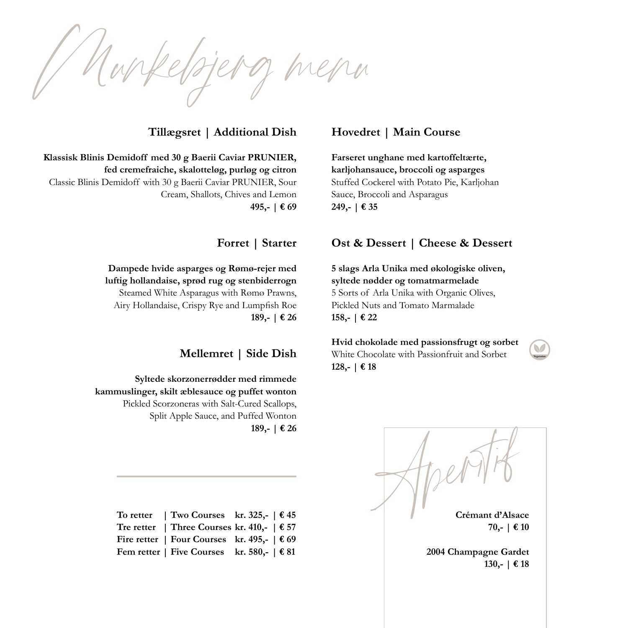*Munkebjerg menu*

# **Tillægsret | Additional Dish**

**Klassisk Blinis Demidoff med 30 g Baerii Caviar PRUNIER, fed cremefraiche, skalotteløg, purløg og citron** Classic Blinis Demidoff with 30 g Baerii Caviar PRUNIER, Sour Cream, Shallots, Chives and Lemon **495,- | € 69**

**Forret | Starter**

**Dampede hvide asparges og Rømø-rejer med luftig hollandaise, sprød rug og stenbiderrogn** Steamed White Asparagus with Rømø Prawns, Airy Hollandaise, Crispy Rye and Lumpfish Roe **189,- | € 26**

## **Mellemret | Side Dish**

**Syltede skorzonerrødder med rimmede kammuslinger, skilt æblesauce og puffet wonton** Pickled Scorzoneras with Salt-Cured Scallops, Split Apple Sauce, and Puffed Wonton **189,- | € 26**

| To retter   Two Courses kr. 325,- $\in$ 45                             |  |
|------------------------------------------------------------------------|--|
| Tre retter   Three Courses kr. 410,- $\in$ 57                          |  |
| Fire retter   Four Courses kr. 495,- $\in$ 69                          |  |
| Fem retter   Five Courses kr. 580,- $\vert \mathbf{\epsilon} \vert$ 81 |  |

## **Hovedret | Main Course**

**Farseret unghane med kartoffeltærte, karljohansauce, broccoli og asparges** Stuffed Cockerel with Potato Pie, Karljohan Sauce, Broccoli and Asparagus **249,- | € 35**

### **Ost & Dessert | Cheese & Dessert**

**5 slags Arla Unika med økologiske oliven, syltede nødder og tomatmarmelade** 5 Sorts of Arla Unika with Organic Olives, Pickled Nuts and Tomato Marmalade **158,- | € 22**

**Hvid chokolade med passionsfrugt og sorbet** White Chocolate with Passionfruit and Sorbet **128,- | € 18**

**Crémant d'Alsace 70,- | € 10 Apple 189,-**  $\vert$  € 26<br> **Apple 189,-**  $\vert$  € 26<br> **Apple 189,-**  $\vert$  € 26<br> **Crémant d'Alsace**<br> **Crémant d'Alsace**<br> **Crémant d'Alsace**<br> **Crémant d'Alsace**<br> **Crémant d'Alsace** 

**2004 Champagne Gardet 130,- | € 18**

**Vegetarian**